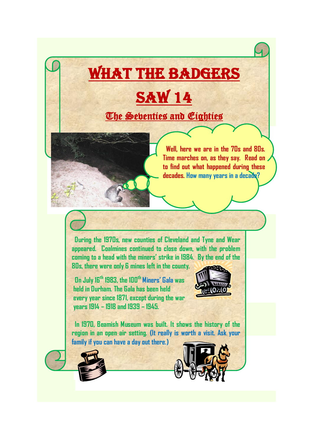## What the Badgers **SAW 14** The Seventies and Eighties

 **Well, here we are in the 70s and 80s. Time marches on, as they say. Read on to find out what happened during these decades. How many years in a decade?**

 **During the 1970s, new counties of Cleveland and Tyne and Wear appeared. Coalmines continued to close down, with the problem coming to a head with the miners' strike in 1984. By the end of the** 

**80s, there were only 6 mines left in the county.**

 **On July 16th 1983, the 100th Miners' Gala was held in Durham. The Gala has been held every year since 1871, except during the war years 1914 – 1918 and 1939 – 1945.**



 **In 1970, Beamish Museum was built. It shows the history of the region in an open air setting. (It really is worth a visit. Ask your family if you can have a day out there.)**